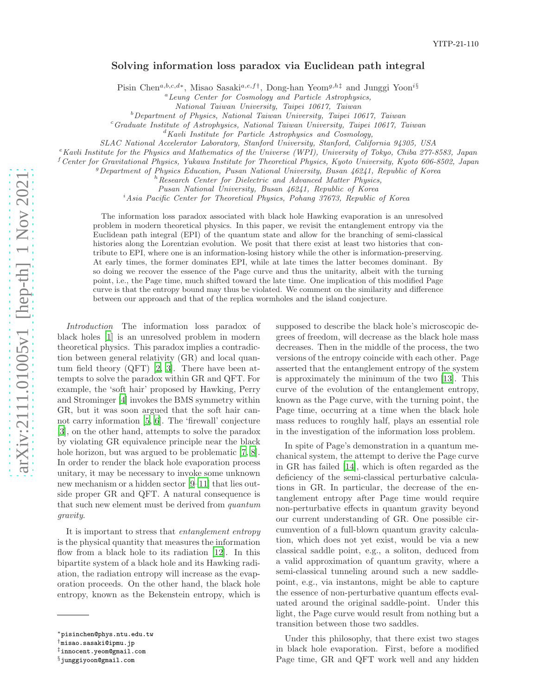## Solving information loss paradox via Euclidean path integral

Pisin Chen<sup>a,b,c,d\*</sup>, Misao Sasaki<sup>a,e,f†</sup>, Dong-han Yeom<sup>g,h‡</sup> and Junggi Yoon<sup>i§</sup>

<sup>a</sup>Leung Center for Cosmology and Particle Astrophysics,

National Taiwan University, Taipei 10617, Taiwan

 $b$ Department of Physics, National Taiwan University, Taipei 10617, Taiwan

<sup>c</sup>Graduate Institute of Astrophysics, National Taiwan University, Taipei 10617, Taiwan  ${}^{d}$ Kavli Institute for Particle Astrophysics and Cosmology,

SLAC National Accelerator Laboratory, Stanford University, Stanford, California 94305, USA

<sup>e</sup> Kavli Institute for the Physics and Mathematics of the Universe (WPI), University of Tokyo, Chiba 277-8583, Japan<br><sup>f</sup> Center for Gravitational Physics, Yukawa Institute for Theoretical Physics, Kyoto University, Kyoto

Pusan National University, Busan 46241, Republic of Korea

<sup>i</sup>Asia Pacific Center for Theoretical Physics, Pohang 37673, Republic of Korea

The information loss paradox associated with black hole Hawking evaporation is an unresolved problem in modern theoretical physics. In this paper, we revisit the entanglement entropy via the Euclidean path integral (EPI) of the quantum state and allow for the branching of semi-classical histories along the Lorentzian evolution. We posit that there exist at least two histories that contribute to EPI, where one is an information-losing history while the other is information-preserving. At early times, the former dominates EPI, while at late times the latter becomes dominant. By so doing we recover the essence of the Page curve and thus the unitarity, albeit with the turning point, i.e., the Page time, much shifted toward the late time. One implication of this modified Page curve is that the entropy bound may thus be violated. We comment on the similarity and difference between our approach and that of the replica wormholes and the island conjecture.

Introduction The information loss paradox of black holes [\[1](#page-4-0)] is an unresolved problem in modern theoretical physics. This paradox implies a contradiction between general relativity (GR) and local quantum field theory (QFT) [\[2,](#page-4-1) [3](#page-4-2)]. There have been attempts to solve the paradox within GR and QFT. For example, the 'soft hair' proposed by Hawking, Perry and Strominger [\[4\]](#page-4-3) invokes the BMS symmetry within GR, but it was soon argued that the soft hair cannot carry information [\[5](#page-4-4), [6](#page-4-5)]. The 'firewall' conjecture [\[3](#page-4-2)], on the other hand, attempts to solve the paradox by violating GR equivalence principle near the black hole horizon, but was argued to be problematic [\[7](#page-4-6), [8\]](#page-4-7). In order to render the black hole evaporation process unitary, it may be necessary to invoke some unknown new mechanism or a hidden sector [\[9](#page-4-8)[–11\]](#page-4-9) that lies outside proper GR and QFT. A natural consequence is that such new element must be derived from quantum gravity .

It is important to stress that entanglement entropy is the physical quantity that measures the information flow from a black hole to its radiation [\[12\]](#page-4-10). In this bipartite system of a black hole and its Hawking radiation, the radiation entropy will increase as the evaporation proceeds. On the other hand, the black hole entropy, known as the Bekenstein entropy, which is

supposed to describe the black hole's microscopic degrees of freedom, will decrease as the black hole mass decreases. Then in the middle of the process, the two versions of the entropy coincide with each other. Page asserted that the entanglement entropy of the system is approximately the minimum of the two [\[13\]](#page-4-11). This curve of the evolution of the entanglement entropy, known as the Page curve, with the turning point, the Page time, occurring at a time when the black hole mass reduces to roughly half, plays an essential role in the investigation of the information loss problem.

In spite of Page's demonstration in a quantum mechanical system, the attempt to derive the Page curve in GR has failed [\[14](#page-4-12)], which is often regarded as the deficiency of the semi-classical perturbative calculations in GR. In particular, the decrease of the entanglement entropy after Page time would require non-perturbative effects in quantum gravity beyond our current understanding of GR. One possible circumvention of a full-blown quantum gravity calculation, which does not yet exist, would be via a new classical saddle point, e.g., a soliton, deduced from a valid approximation of quantum gravity, where a semi-classical tunneling around such a new saddlepoint, e.g., via instantons, might be able to capture the essence of non-perturbative quantum effects evaluated around the original saddle-point. Under this light, the Page curve would result from nothing but a transition between those two saddles.

Under this philosophy, that there exist two stages in black hole evaporation. First, before a modified Page time, GR and QFT work well and any hidden

<sup>∗</sup>pisinchen@phys.ntu.edu.tw

<sup>†</sup>misao.sasaki@ipmu.jp

<sup>‡</sup>innocent.yeom@gmail.com

<sup>§</sup>junggiyoon@gmail.com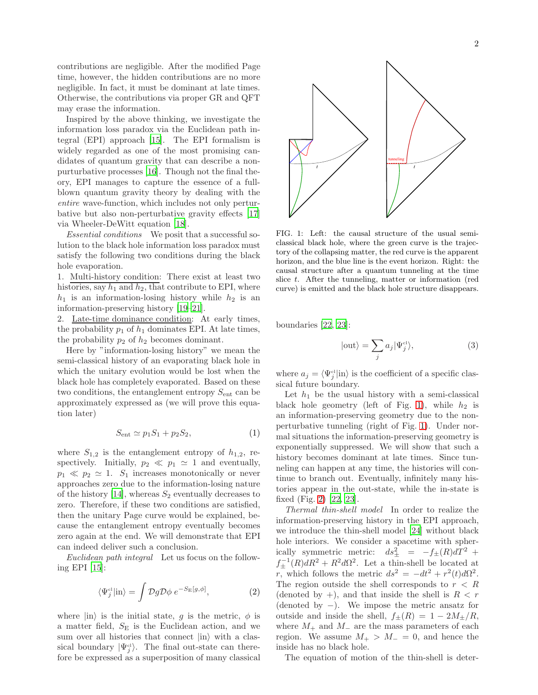contributions are negligible. After the modified Page time, however, the hidden contributions are no more negligible. In fact, it must be dominant at late times. Otherwise, the contributions via proper GR and QFT may erase the information.

Inspired by the above thinking, we investigate the information loss paradox via the Euclidean path integral (EPI) approach [\[15\]](#page-4-13). The EPI formalism is widely regarded as one of the most promising candidates of quantum gravity that can describe a nonpurturbative processes [\[16\]](#page-4-14). Though not the final theory, EPI manages to capture the essence of a fullblown quantum gravity theory by dealing with the entire wave-function, which includes not only perturbative but also non-perturbative gravity effects [\[17\]](#page-4-15) via Wheeler-DeWitt equation [\[18](#page-4-16)].

Essential conditions We posit that a successful solution to the black hole information loss paradox must satisfy the following two conditions during the black hole evaporation.

1. Multi-history condition: There exist at least two histories, say  $h_1$  and  $h_2$ , that contribute to EPI, where  $h_1$  is an information-losing history while  $h_2$  is an information-preserving history [\[19](#page-4-17)[–21\]](#page-4-18).

2. Late-time dominance condition: At early times, the probability  $p_1$  of  $h_1$  dominates EPI. At late times, the probability  $p_2$  of  $h_2$  becomes dominant.

Here by "information-losing history" we mean the semi-classical history of an evaporating black hole in which the unitary evolution would be lost when the black hole has completely evaporated. Based on these two conditions, the entanglement entropy  $S_{\text{ent}}$  can be approximately expressed as (we will prove this equation later)

$$
S_{\text{ent}} \simeq p_1 S_1 + p_2 S_2,\tag{1}
$$

where  $S_{1,2}$  is the entanglement entropy of  $h_{1,2}$ , respectively. Initially,  $p_2 \ll p_1 \simeq 1$  and eventually,  $p_1 \ll p_2 \simeq 1$ .  $S_1$  increases monotonically or never approaches zero due to the information-losing nature of the history [\[14\]](#page-4-12), whereas  $S_2$  eventually decreases to zero. Therefore, if these two conditions are satisfied, then the unitary Page curve would be explained, because the entanglement entropy eventually becomes zero again at the end. We will demonstrate that EPI can indeed deliver such a conclusion.

Euclidean path integral Let us focus on the following EPI [\[15](#page-4-13)]:

$$
\langle \Psi_j^{cl} | \text{in} \rangle = \int \mathcal{D}g \mathcal{D}\phi \ e^{-S_{\text{E}}[g,\phi]}, \tag{2}
$$

where  $|\text{in}\rangle$  is the initial state, g is the metric,  $\phi$  is a matter field,  $S<sub>E</sub>$  is the Euclidean action, and we sum over all histories that connect  $|in\rangle$  with a classical boundary  $|\Psi_j^{\text{cl}}\rangle$ . The final out-state can therefore be expressed as a superposition of many classical



<span id="page-1-0"></span>FIG. 1: Left: the causal structure of the usual semiclassical black hole, where the green curve is the trajectory of the collapsing matter, the red curve is the apparent horizon, and the blue line is the event horizon. Right: the causal structure after a quantum tunneling at the time slice t. After the tunneling, matter or information (red curve) is emitted and the black hole structure disappears.

boundaries [\[22,](#page-4-19) [23\]](#page-4-20):

$$
|\text{out}\rangle = \sum_{j} a_j |\Psi_j^{\text{cl}}\rangle,\tag{3}
$$

where  $a_j = \langle \Psi_j^{\text{cl}} | \text{in} \rangle$  is the coefficient of a specific classical future boundary.

Let  $h_1$  be the usual history with a semi-classical black hole geometry (left of Fig. [1\)](#page-1-0), while  $h_2$  is an information-preserving geometry due to the nonperturbative tunneling (right of Fig. [1\)](#page-1-0). Under normal situations the information-preserving geometry is exponentially suppressed. We will show that such a history becomes dominant at late times. Since tunneling can happen at any time, the histories will continue to branch out. Eventually, infinitely many histories appear in the out-state, while the in-state is fixed (Fig. [2\)](#page-2-0) [\[22](#page-4-19), [23\]](#page-4-20).

Thermal thin-shell model In order to realize the information-preserving history in the EPI approach, we introduce the thin-shell model [\[24\]](#page-4-21) without black hole interiors. We consider a spacetime with spherically symmetric metric:  $ds_{\pm}^2 = -f_{\pm}(R)dT^2 +$  $f_{\pm}^{-1}(R)dR^2 + R^2d\Omega^2$ . Let a thin-shell be located at r, which follows the metric  $ds^2 = -dt^2 + r^2(t)d\Omega^2$ . The region outside the shell corresponds to  $r < R$ (denoted by  $+$ ), and that inside the shell is  $R < r$ (denoted by −). We impose the metric ansatz for outside and inside the shell,  $f_{\pm}(R) = 1 - 2M_{\pm}/R$ , where  $M_+$  and  $M_-$  are the mass parameters of each region. We assume  $M_+ > M_- = 0$ , and hence the inside has no black hole.

The equation of motion of the thin-shell is deter-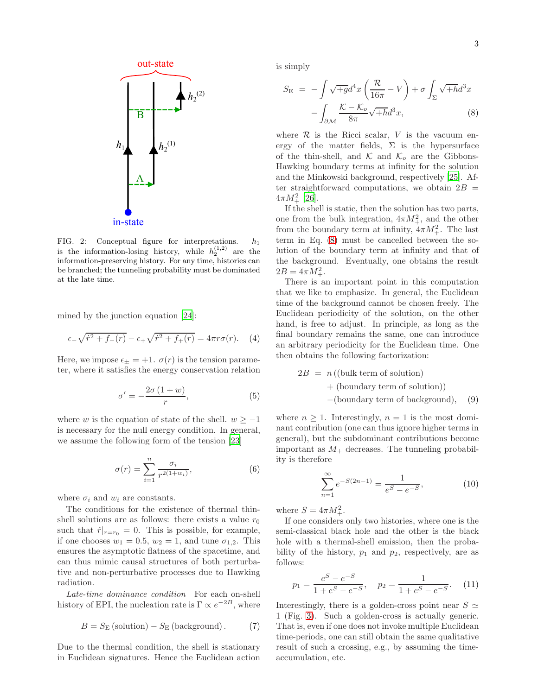

<span id="page-2-0"></span>FIG. 2: Conceptual figure for interpretations.  $h_1$ is the information-losing history, while  $h_2^{(1,2)}$  are the information-preserving history. For any time, histories can be branched; the tunneling probability must be dominated at the late time.

mined by the junction equation [\[24\]](#page-4-21):

$$
\epsilon_{-}\sqrt{\dot{r}^{2} + f_{-}(r)} - \epsilon_{+}\sqrt{\dot{r}^{2} + f_{+}(r)} = 4\pi r \sigma(r). \quad (4)
$$

Here, we impose  $\epsilon_{\pm} = +1$ .  $\sigma(r)$  is the tension parameter, where it satisfies the energy conservation relation

$$
\sigma' = -\frac{2\sigma(1+w)}{r},\tag{5}
$$

where w is the equation of state of the shell.  $w \ge -1$ is necessary for the null energy condition. In general, we assume the following form of the tension [\[23\]](#page-4-20)

$$
\sigma(r) = \sum_{i=1}^{n} \frac{\sigma_i}{r^{2(1+w_i)}},\tag{6}
$$

where  $\sigma_i$  and  $w_i$  are constants.

The conditions for the existence of thermal thinshell solutions are as follows: there exists a value  $r_0$ such that  $\dot{r}|_{r=r_0} = 0$ . This is possible, for example, if one chooses  $w_1 = 0.5$ ,  $w_2 = 1$ , and tune  $\sigma_{1,2}$ . This ensures the asymptotic flatness of the spacetime, and can thus mimic causal structures of both perturbative and non-perturbative processes due to Hawking radiation.

Late-time dominance condition For each on-shell history of EPI, the nucleation rate is  $\Gamma \propto e^{-2B}$ , where

$$
B = S_{\rm E} \left( \text{solution} \right) - S_{\rm E} \left( \text{background} \right). \tag{7}
$$

Due to the thermal condition, the shell is stationary in Euclidean signatures. Hence the Euclidean action is simply

<span id="page-2-1"></span>
$$
S_{\rm E} = -\int \sqrt{q} \, d^4 x \left( \frac{\mathcal{R}}{16\pi} - V \right) + \sigma \int_{\Sigma} \sqrt{h} \, d^3 x
$$

$$
- \int_{\partial \mathcal{M}} \frac{\mathcal{K} - \mathcal{K}_o}{8\pi} \sqrt{h} \, d^3 x,\tag{8}
$$

where  $R$  is the Ricci scalar, V is the vacuum energy of the matter fields,  $\Sigma$  is the hypersurface of the thin-shell, and  $\mathcal{K}$  and  $\mathcal{K}_o$  are the Gibbons-Hawking boundary terms at infinity for the solution and the Minkowski background, respectively [\[25\]](#page-4-22). After straightforward computations, we obtain  $2B =$  $4\pi M_+^2$  [\[26\]](#page-4-23).

If the shell is static, then the solution has two parts, one from the bulk integration,  $4\pi M_+^2$ , and the other from the boundary term at infinity,  $4\pi M_+^2$ . The last term in Eq. [\(8\)](#page-2-1) must be cancelled between the solution of the boundary term at infinity and that of the background. Eventually, one obtains the result  $2B = 4\pi M_+^2$ .

There is an important point in this computation that we like to emphasize. In general, the Euclidean time of the background cannot be chosen freely. The Euclidean periodicity of the solution, on the other hand, is free to adjust. In principle, as long as the final boundary remains the same, one can introduce an arbitrary periodicity for the Euclidean time. One then obtains the following factorization:

$$
2B = n \text{ (bulk term of solution)}
$$
  
+ (boundary term of solution))  
-(boundary term of background), (9)

where  $n \geq 1$ . Interestingly,  $n = 1$  is the most dominant contribution (one can thus ignore higher terms in general), but the subdominant contributions become important as  $M_{+}$  decreases. The tunneling probability is therefore

$$
\sum_{n=1}^{\infty} e^{-S(2n-1)} = \frac{1}{e^S - e^{-S}},
$$
\n(10)

where  $S = 4\pi M_+^2$ .

If one considers only two histories, where one is the semi-classical black hole and the other is the black hole with a thermal-shell emission, then the probability of the history,  $p_1$  and  $p_2$ , respectively, are as follows:

$$
p_1 = \frac{e^S - e^{-S}}{1 + e^S - e^{-S}}, \quad p_2 = \frac{1}{1 + e^S - e^{-S}}.
$$
 (11)

Interestingly, there is a golden-cross point near  $S \simeq$ 1 (Fig. [3\)](#page-3-0). Such a golden-cross is actually generic. That is, even if one does not invoke multiple Euclidean time-periods, one can still obtain the same qualitative result of such a crossing, e.g., by assuming the timeaccumulation, etc.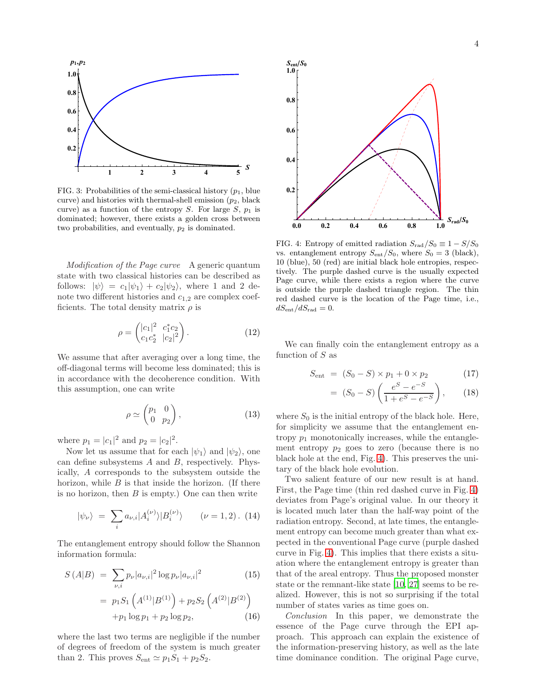

<span id="page-3-0"></span>FIG. 3: Probabilities of the semi-classical history  $(p_1,$  blue curve) and histories with thermal-shell emission  $(p_2, \text{black})$ curve) as a function of the entropy S. For large S,  $p_1$  is dominated; however, there exists a golden cross between two probabilities, and eventually,  $p_2$  is dominated.

Modification of the Page curve A generic quantum state with two classical histories can be described as follows:  $|\psi\rangle = c_1|\psi_1\rangle + c_2|\psi_2\rangle$ , where 1 and 2 denote two different histories and  $c_{1,2}$  are complex coefficients. The total density matrix  $\rho$  is

$$
\rho = \begin{pmatrix} |c_1|^2 & c_1^* c_2 \\ c_1 c_2^* & |c_2|^2 \end{pmatrix} . \tag{12}
$$

We assume that after averaging over a long time, the off-diagonal terms will become less dominated; this is in accordance with the decoherence condition. With this assumption, one can write

$$
\rho \simeq \begin{pmatrix} p_1 & 0 \\ 0 & p_2 \end{pmatrix}, \tag{13}
$$

where  $p_1 = |c_1|^2$  and  $p_2 = |c_2|^2$ .

Now let us assume that for each  $|\psi_1\rangle$  and  $|\psi_2\rangle$ , one can define subsystems  $A$  and  $B$ , respectively. Physically, A corresponds to the subsystem outside the horizon, while  $B$  is that inside the horizon. (If there is no horizon, then  $B$  is empty.) One can then write

$$
|\psi_{\nu}\rangle = \sum_{i} a_{\nu,i} |A_i^{(\nu)}\rangle |B_i^{(\nu)}\rangle \qquad (\nu = 1, 2). \tag{14}
$$

The entanglement entropy should follow the Shannon information formula:

$$
S(A|B) = \sum_{\nu,i} p_{\nu} |a_{\nu,i}|^2 \log p_{\nu} |a_{\nu,i}|^2
$$
(15)  
=  $p_1 S_1 \left( A^{(1)} | B^{(1)} \right) + p_2 S_2 \left( A^{(2)} | B^{(2)} \right)$   
+  $p_1 \log p_1 + p_2 \log p_2$ , (16)

where the last two terms are negligible if the number of degrees of freedom of the system is much greater than 2. This proves  $S_{\text{ent}} \simeq p_1 S_1 + p_2 S_2$ .



<span id="page-3-1"></span>FIG. 4: Entropy of emitted radiation  $S_{\text{rad}}/S_0 \equiv 1 - S/S_0$ vs. entanglement entropy  $S_{\text{ent}}/S_0$ , where  $S_0 = 3$  (black), 10 (blue), 50 (red) are initial black hole entropies, respectively. The purple dashed curve is the usually expected Page curve, while there exists a region where the curve is outside the purple dashed triangle region. The thin red dashed curve is the location of the Page time, i.e.,  $dS_{\text{ent}}/dS_{\text{rad}} = 0.$ 

We can finally coin the entanglement entropy as a function of  $S$  as

$$
S_{\text{ent}} = (S_0 - S) \times p_1 + 0 \times p_2 \tag{17}
$$

$$
= (S_0 - S) \left( \frac{e^S - e^{-S}}{1 + e^S - e^{-S}} \right), \qquad (18)
$$

where  $S_0$  is the initial entropy of the black hole. Here, for simplicity we assume that the entanglement entropy  $p_1$  monotonically increases, while the entanglement entropy  $p_2$  goes to zero (because there is no black hole at the end, Fig. [4\)](#page-3-1). This preserves the unitary of the black hole evolution.

Two salient feature of our new result is at hand. First, the Page time (thin red dashed curve in Fig. [4\)](#page-3-1) deviates from Page's original value. In our theory it is located much later than the half-way point of the radiation entropy. Second, at late times, the entanglement entropy can become much greater than what expected in the conventional Page curve (purple dashed curve in Fig. [4\)](#page-3-1). This implies that there exists a situation where the entanglement entropy is greater than that of the areal entropy. Thus the proposed monster state or the remnant-like state [\[10](#page-4-24), [27\]](#page-4-25) seems to be realized. However, this is not so surprising if the total number of states varies as time goes on.

Conclusion In this paper, we demonstrate the essence of the Page curve through the EPI approach. This approach can explain the existence of the information-preserving history, as well as the late time dominance condition. The original Page curve,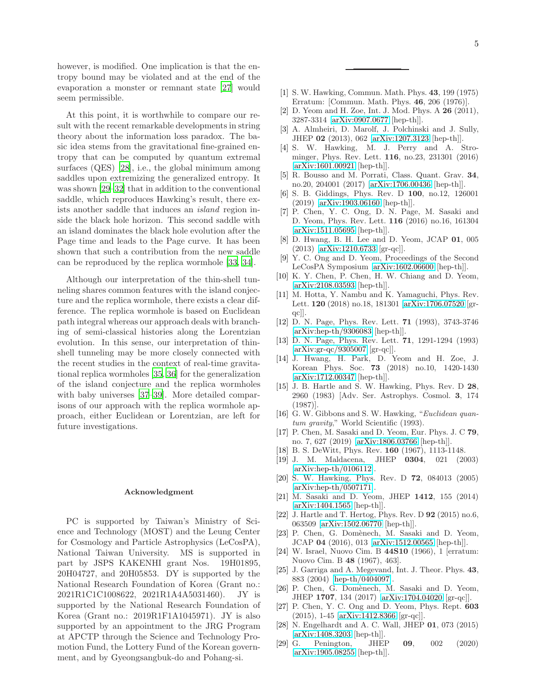however, is modified. One implication is that the entropy bound may be violated and at the end of the evaporation a monster or remnant state [\[27](#page-4-25)] would seem permissible.

At this point, it is worthwhile to compare our result with the recent remarkable developments in string theory about the information loss paradox. The basic idea stems from the gravitational fine-grained entropy that can be computed by quantum extremal surfaces (QES) [\[28](#page-4-26)], i.e., the global minimum among saddles upon extremizing the generalized entropy. It was shown [\[29](#page-4-27)[–32\]](#page-5-0) that in addition to the conventional saddle, which reproduces Hawking's result, there exists another saddle that induces an island region inside the black hole horizon. This second saddle with an island dominates the black hole evolution after the Page time and leads to the Page curve. It has been shown that such a contribution from the new saddle can be reproduced by the replica wormhole [\[33,](#page-5-1) [34\]](#page-5-2).

Although our interpretation of the thin-shell tunneling shares common features with the island conjecture and the replica wormhole, there exists a clear difference. The replica wormhole is based on Euclidean path integral whereas our approach deals with branching of semi-classical histories along the Lorentzian evolution. In this sense, our interpretation of thinshell tunneling may be more closely connected with the recent studies in the context of real-time gravitational replica wormholes [\[35,](#page-5-3) [36](#page-5-4)] for the generalization of the island conjecture and the replica wormholes with baby universes [\[37](#page-5-5)[–39\]](#page-5-6). More detailed comparisons of our approach with the replica wormhole approach, either Euclidean or Lorentzian, are left for future investigations.

## Acknowledgment

PC is supported by Taiwan's Ministry of Science and Technology (MOST) and the Leung Center for Cosmology and Particle Astrophysics (LeCosPA), National Taiwan University. MS is supported in part by JSPS KAKENHI grant Nos. 19H01895, 20H04727, and 20H05853. DY is supported by the National Research Foundation of Korea (Grant no.: 2021R1C1C1008622, 2021R1A4A5031460). JY is supported by the National Research Foundation of Korea (Grant no.: 2019R1F1A1045971). JY is also supported by an appointment to the JRG Program at APCTP through the Science and Technology Promotion Fund, the Lottery Fund of the Korean government, and by Gyeongsangbuk-do and Pohang-si.

- <span id="page-4-1"></span><span id="page-4-0"></span>[2] D. Yeom and H. Zoe, Int. J. Mod. Phys. A 26 (2011), 3287-3314 [\[arXiv:0907.0677](http://arxiv.org/abs/0907.0677) [hep-th]].
- <span id="page-4-2"></span>[3] A. Almheiri, D. Marolf, J. Polchinski and J. Sully, JHEP 02 (2013), 062 [\[arXiv:1207.3123](http://arxiv.org/abs/1207.3123) [hep-th]].
- <span id="page-4-3"></span>[4] S. W. Hawking, M. J. Perry and A. Strominger, Phys. Rev. Lett. 116, no.23, 231301 (2016) [\[arXiv:1601.00921](http://arxiv.org/abs/1601.00921) [hep-th]].
- <span id="page-4-4"></span>[5] R. Bousso and M. Porrati, Class. Quant. Grav. 34, no.20, 204001 (2017) [\[arXiv:1706.00436](http://arxiv.org/abs/1706.00436) [hep-th]].
- <span id="page-4-5"></span>[6] S. B. Giddings, Phys. Rev. D 100, no.12, 126001 (2019) [\[arXiv:1903.06160](http://arxiv.org/abs/1903.06160) [hep-th]].
- <span id="page-4-6"></span>[7] P. Chen, Y. C. Ong, D. N. Page, M. Sasaki and D. Yeom, Phys. Rev. Lett. 116 (2016) no.16, 161304 [\[arXiv:1511.05695](http://arxiv.org/abs/1511.05695) [hep-th]].
- <span id="page-4-7"></span>[8] D. Hwang, B. H. Lee and D. Yeom, JCAP 01, 005 (2013) [\[arXiv:1210.6733](http://arxiv.org/abs/1210.6733) [gr-qc]].
- <span id="page-4-8"></span>[9] Y. C. Ong and D. Yeom, Proceedings of the Second LeCosPA Symposium [\[arXiv:1602.06600](http://arxiv.org/abs/1602.06600) [hep-th]].
- <span id="page-4-24"></span>[10] K. Y. Chen, P. Chen, H. W. Chiang and D. Yeom, [\[arXiv:2108.03593](http://arxiv.org/abs/2108.03593) [hep-th]].
- <span id="page-4-9"></span>[11] M. Hotta, Y. Nambu and K. Yamaguchi, Phys. Rev. Lett. 120 (2018) no.18, 181301 [\[arXiv:1706.07520](http://arxiv.org/abs/1706.07520) [grqc]].
- <span id="page-4-10"></span>[12] D. N. Page, Phys. Rev. Lett. 71 (1993), 3743-3746 [\[arXiv:hep-th/9306083](http://arxiv.org/abs/hep-th/9306083) [hep-th]].
- <span id="page-4-11"></span>[13] D. N. Page, Phys. Rev. Lett. 71, 1291-1294 (1993) [\[arXiv:gr-qc/9305007](http://arxiv.org/abs/gr-qc/9305007) [gr-qc]].
- <span id="page-4-12"></span>[14] J. Hwang, H. Park, D. Yeom and H. Zoe, J. Korean Phys. Soc. 73 (2018) no.10, 1420-1430 [\[arXiv:1712.00347](http://arxiv.org/abs/1712.00347) [hep-th]].
- <span id="page-4-13"></span>[15] J. B. Hartle and S. W. Hawking, Phys. Rev. D 28, 2960 (1983) [Adv. Ser. Astrophys. Cosmol. 3, 174 (1987)].
- <span id="page-4-14"></span>[16] G. W. Gibbons and S. W. Hawking, "Euclidean quantum gravity," World Scientific (1993).
- <span id="page-4-15"></span>[17] P. Chen, M. Sasaki and D. Yeom, Eur. Phys. J. C 79, no. 7, 627 (2019) [\[arXiv:1806.03766](http://arxiv.org/abs/1806.03766) [hep-th]].
- <span id="page-4-16"></span>[18] B. S. DeWitt, Phys. Rev. 160 (1967), 1113-1148.
- <span id="page-4-17"></span>[19] J. M. Maldacena, JHEP 0304, 021 (2003) [\[arXiv:hep-th/0106112\]](http://arxiv.org/abs/hep-th/0106112).
- [20] S. W. Hawking, Phys. Rev. D 72, 084013 (2005) [\[arXiv:hep-th/0507171\]](http://arxiv.org/abs/hep-th/0507171).
- <span id="page-4-18"></span>[21] M. Sasaki and D. Yeom, JHEP 1412, 155 (2014) [\[arXiv:1404.1565](http://arxiv.org/abs/1404.1565) [hep-th]].
- <span id="page-4-19"></span>[22] J. Hartle and T. Hertog, Phys. Rev. D 92 (2015) no.6, 063509 [\[arXiv:1502.06770](http://arxiv.org/abs/1502.06770) [hep-th]].
- <span id="page-4-20"></span>[23] P. Chen, G. Domènech, M. Sasaki and D. Yeom, JCAP 04 (2016), 013 [\[arXiv:1512.00565](http://arxiv.org/abs/1512.00565) [hep-th]].
- <span id="page-4-21"></span>[24] W. Israel, Nuovo Cim. B 44S10 (1966), 1 [erratum: Nuovo Cim. B 48 (1967), 463].
- <span id="page-4-22"></span>[25] J. Garriga and A. Megevand, Int. J. Theor. Phys. 43, 883 (2004) [\[hep-th/0404097\]](http://arxiv.org/abs/hep-th/0404097).
- <span id="page-4-23"></span>[26] P. Chen, G. Domènech, M. Sasaki and D. Yeom, JHEP 1707, 134 (2017) [\[arXiv:1704.04020](http://arxiv.org/abs/1704.04020) [gr-qc]].
- <span id="page-4-25"></span>[27] P. Chen, Y. C. Ong and D. Yeom, Phys. Rept. 603 (2015), 1-45 [\[arXiv:1412.8366](http://arxiv.org/abs/1412.8366) [gr-qc]].
- <span id="page-4-26"></span>[28] N. Engelhardt and A. C. Wall, JHEP 01, 073 (2015) [\[arXiv:1408.3203](http://arxiv.org/abs/1408.3203) [hep-th]].
- <span id="page-4-27"></span>[29] G. Penington, JHEP 09, 002 (2020) [\[arXiv:1905.08255](http://arxiv.org/abs/1905.08255) [hep-th]].